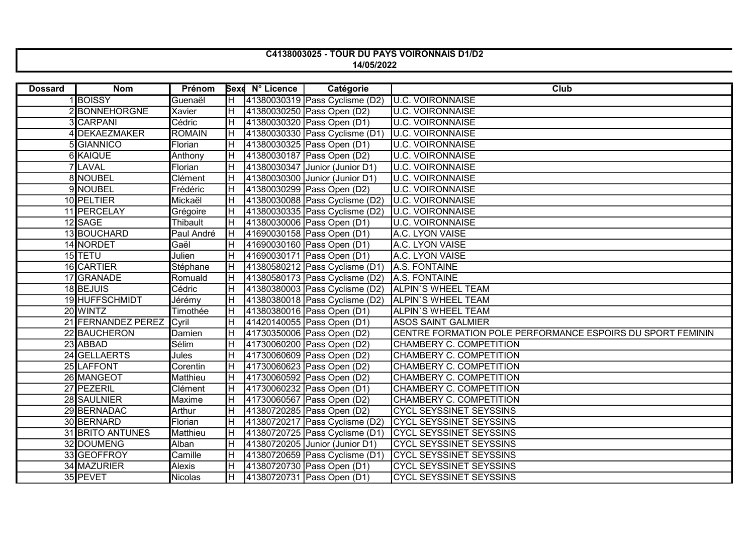## C4138003025 - TOUR DU PAYS VOIRONNAIS D1/D2 14/05/2022

| <b>Dossard</b> | <b>Nom</b>              | Prénom          |                         | <b>Bexe N° Licence</b> | Catégorie                           | Club                                                       |
|----------------|-------------------------|-----------------|-------------------------|------------------------|-------------------------------------|------------------------------------------------------------|
|                | 1BOISSY                 | Guenaël         |                         |                        | H  41380030319   Pass Cyclisme (D2) | <b>U.C. VOIRONNAISE</b>                                    |
|                | 2 BONNEHORGNE           | Xavier          | H                       |                        | 41380030250 Pass Open (D2)          | <b>U.C. VOIRONNAISE</b>                                    |
|                | 3 CARPANI               | Cédric          | $\overline{\mathbb H}$  |                        | 41380030320 Pass Open (D1)          | <b>U.C. VOIRONNAISE</b>                                    |
|                | 4 DEKAEZMAKER           | <b>ROMAIN</b>   | IΗ                      |                        | 41380030330 Pass Cyclisme (D1)      | <b>U.C. VOIRONNAISE</b>                                    |
|                | 5 GIANNICO              | Florian         | Iн                      |                        | 41380030325 Pass Open (D1)          | <b>U.C. VOIRONNAISE</b>                                    |
|                | 6 KAIQUE                | Anthony         | IΗ                      |                        | 41380030187 Pass Open (D2)          | <b>U.C. VOIRONNAISE</b>                                    |
|                | 7 LAVAL                 | Florian         | Iн                      |                        | 41380030347 Junior (Junior D1)      | <b>U.C. VOIRONNAISE</b>                                    |
|                | 8 NOUBEL                | Clément         | lн                      |                        | 41380030300 Junior (Junior D1)      | <b>U.C. VOIRONNAISE</b>                                    |
|                | 9 NOUBEL                | Frédéric        | lн                      |                        | 41380030299 Pass Open (D2)          | <b>U.C. VOIRONNAISE</b>                                    |
|                | 10 PELTIER              | Mickaël         | $\overline{\mathbb H}$  |                        | 41380030088 Pass Cyclisme (D2)      | <b>U.C. VOIRONNAISE</b>                                    |
|                | 11 PERCELAY             | Grégoire        | lн                      |                        | 41380030335   Pass Cyclisme (D2)    | <b>U.C. VOIRONNAISE</b>                                    |
|                | 12 SAGE                 | Thibault        | lн                      |                        | 41380030006 Pass Open (D1)          | <b>U.C. VOIRONNAISE</b>                                    |
|                | 13 BOUCHARD             | Paul André      | $\overline{\mathbb H}$  |                        | 41690030158 Pass Open (D1)          | A.C. LYON VAISE                                            |
|                | 14 NORDET               | Gaël            | Iн                      |                        | 41690030160 Pass Open (D1)          | A.C. LYON VAISE                                            |
|                | 15 TETU                 | Julien          | Iн                      |                        | 41690030171 Pass Open (D1)          | A.C. LYON VAISE                                            |
|                | 16 CARTIER              | Stéphane        | Iн                      |                        | 41380580212 Pass Cyclisme (D1)      | A.S. FONTAINE                                              |
|                | 17 GRANADE              | Romuald         | Iн                      |                        | 41380580173 Pass Cyclisme (D2)      | A.S. FONTAINE                                              |
|                | 18 BEJUIS               | Cédric          | Iн                      |                        | 41380380003 Pass Cyclisme (D2)      | <b>ALPIN'S WHEEL TEAM</b>                                  |
|                | 19 HUFFSCHMIDT          | Jérémy          | $\overline{\mathbb{H}}$ |                        | 41380380018 Pass Cyclicime (D2)     | ALPIN'S WHEEL TEAM                                         |
|                | 20 WINTZ                | Timothée        | Iн                      |                        | 41380380016 Pass Open (D1)          | <b>ALPIN'S WHEEL TEAM</b>                                  |
|                | 21 FERNANDEZ PEREZ      | Cyril           | lн                      |                        | 41420140055 Pass Open (D1)          | <b>ASOS SAINT GALMIER</b>                                  |
|                | 22 BAUCHERON            | Damien          | Iн                      |                        | 41730350006 Pass Open (D2)          | CENTRE FORMATION POLE PERFORMANCE ESPOIRS DU SPORT FEMININ |
|                | 23 ABBAD                | Sélim           | lн                      |                        | 41730060200 Pass Open (D2)          | CHAMBERY C. COMPETITION                                    |
|                | 24 GELLAERTS            | Jules           | lн                      |                        | 41730060609 Pass Open (D2)          | CHAMBERY C. COMPETITION                                    |
|                | 25 LAFFONT              | Corentin        | lн                      |                        | 41730060623 Pass Open (D2)          | CHAMBERY C. COMPETITION                                    |
|                | 26 MANGEOT              | <b>Matthieu</b> | Iн                      |                        | 41730060592 Pass Open (D2)          | CHAMBERY C. COMPETITION                                    |
|                | 27 PEZERIL              | Clément         | lн                      |                        | 41730060232 Pass Open (D1)          | CHAMBERY C. COMPETITION                                    |
|                | 28 SAULNIER             | Maxime          | lн                      |                        | 41730060567 Pass Open (D2)          | CHAMBERY C. COMPETITION                                    |
|                | 29 BERNADAC             | Arthur          | lн                      |                        | 41380720285 Pass Open (D2)          | <b>CYCL SEYSSINET SEYSSINS</b>                             |
|                | 30 BERNARD              | Florian         | lн                      |                        | 41380720217 Pass Cyclisme (D2)      | CYCL SEYSSINET SEYSSINS                                    |
|                | <b>31 BRITO ANTUNES</b> | Matthieu        | $\overline{\mathsf{H}}$ |                        | 41380720725 Pass Cyclisme (D1)      | <b>CYCL SEYSSINET SEYSSINS</b>                             |
|                | 32 DOUMENG              | Alban           | Iн                      |                        | 41380720205 Junior (Junior D1)      | <b>CYCL SEYSSINET SEYSSINS</b>                             |
|                | 33 GEOFFROY             | Camille         | Iн                      |                        | 41380720659 Pass Cyclisme (D1)      | <b>CYCL SEYSSINET SEYSSINS</b>                             |
|                | 34 MAZURIER             | Alexis          | Iн                      |                        | 41380720730 Pass Open (D1)          | <b>CYCL SEYSSINET SEYSSINS</b>                             |
|                | 35 PEVET                | Nicolas         | Iн                      |                        | 41380720731 Pass Open (D1)          | <b>CYCL SEYSSINET SEYSSINS</b>                             |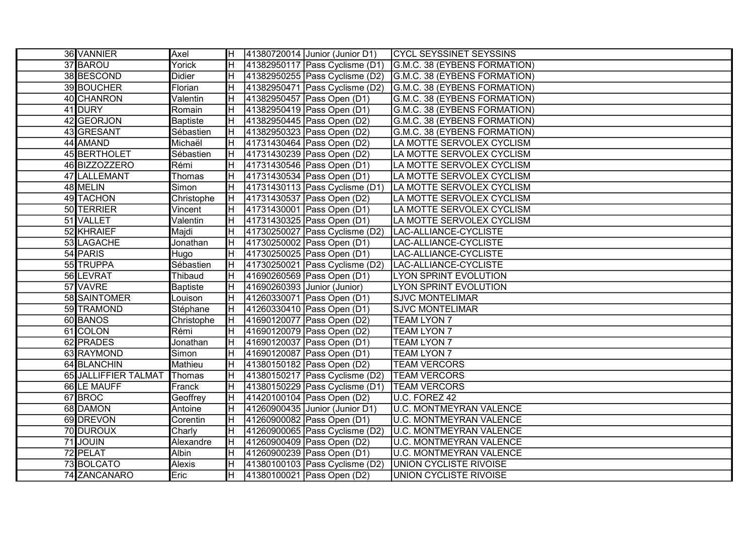| 36 VANNIER           | Axel            | IH.                     |                             | 41380720014 Junior (Junior D1)               | <b>CYCL SEYSSINET SEYSSINS</b> |
|----------------------|-----------------|-------------------------|-----------------------------|----------------------------------------------|--------------------------------|
| 37 BAROU             | Yorick          | IH.                     |                             | 41382950117 Pass Cyclisme (D1)               | G.M.C. 38 (EYBENS FORMATION)   |
| 38 BESCOND           | <b>Didier</b>   | H                       |                             | 41382950255 Pass Cyclisme (D2)               | G.M.C. 38 (EYBENS FORMATION)   |
| 39 BOUCHER           | Florian         | IH.                     |                             | 41382950471 Pass Cyclisme (D2)               | G.M.C. 38 (EYBENS FORMATION)   |
| 40 CHANRON           | Valentin        | IΗ                      |                             | 41382950457 Pass Open (D1)                   | G.M.C. 38 (EYBENS FORMATION)   |
| 41 DURY              | Romain          | $\overline{\mathbb{H}}$ |                             | 41382950419 Pass Open (D1)                   | G.M.C. 38 (EYBENS FORMATION)   |
| 42 GEORJON           | <b>Baptiste</b> | IΗ                      |                             | 41382950445 Pass Open (D2)                   | G.M.C. 38 (EYBENS FORMATION)   |
| 43 GRESANT           | Sébastien       | Iн                      |                             | 41382950323 Pass Open (D2)                   | G.M.C. 38 (EYBENS FORMATION)   |
| 44 AMAND             | Michaël         | $\overline{\mathbb{H}}$ |                             | 41731430464 Pass Open (D2)                   | LA MOTTE SERVOLEX CYCLISM      |
| 45 BERTHOLET         | Sébastien       | $\overline{\mathbb H}$  |                             | 41731430239 Pass Open (D2)                   | LA MOTTE SERVOLEX CYCLISM      |
| 46 BIZZOZZERO        | Rémi            | H                       |                             | 41731430546 Pass Open (D1)                   | LA MOTTE SERVOLEX CYCLISM      |
| 47 LALLEMANT         | <b>Thomas</b>   | $\overline{\mathbb H}$  |                             | 41731430534 Pass Open (D1)                   | LA MOTTE SERVOLEX CYCLISM      |
| 48 MELIN             | Simon           | Iн                      |                             | 41731430113 Pass Cyclisme (D1)               | LA MOTTE SERVOLEX CYCLISM      |
| 49 TACHON            | Christophe      | Iн                      |                             | 41731430537 Pass Open (D2)                   | LA MOTTE SERVOLEX CYCLISM      |
| 50 TERRIER           | Vincent         | IH.                     |                             | 41731430001 Pass Open (D1)                   | LA MOTTE SERVOLEX CYCLISM      |
| 51 VALLET            | Valentin        | IH.                     |                             | 41731430325 Pass Open (D1)                   | LA MOTTE SERVOLEX CYCLISM      |
| 52 KHRAIEF           | Majdi           | H                       |                             | 41730250027 Pass Cyclisme (D2)               | LAC-ALLIANCE-CYCLISTE          |
| 53 LAGACHE           | Jonathan        | Iн                      |                             | 41730250002 Pass Open (D1)                   | LAC-ALLIANCE-CYCLISTE          |
| 54 PARIS             | Hugo            | lΗ                      |                             | 41730250025 Pass Open (D1)                   | LAC-ALLIANCE-CYCLISTE          |
| 55 TRUPPA            | Sébastien       | Iн                      |                             | 41730250021 Pass Cyclisme (D2)               | LAC-ALLIANCE-CYCLISTE          |
| 56 LEVRAT            | Thibaud         | IH.                     |                             | 41690260569 Pass Open (D1)                   | LYON SPRINT EVOLUTION          |
| 57 VAVRE             | <b>Baptiste</b> | IH.                     | 41690260393 Junior (Junior) |                                              | LYON SPRINT EVOLUTION          |
| 58 SAINTOMER         | Louison         | $\overline{\mathbb H}$  |                             | 41260330071 Pass Open (D1)                   | <b>SJVC MONTELIMAR</b>         |
| 59 TRAMOND           | Stéphane        | IH.                     |                             | 41260330410 Pass Open (D1)                   | <b>SJVC MONTELIMAR</b>         |
| 60 BANOS             | Christophe      | Iн                      |                             | 41690120077 Pass Open (D2)                   | <b>TEAM LYON 7</b>             |
| 61 COLON             | Rémi            | IH.                     |                             | 41690120079 Pass Open (D2)                   | <b>TEAM LYON 7</b>             |
| 62 PRADES            | Jonathan        | IH.                     |                             | 41690120037 Pass Open (D1)                   | <b>TEAM LYON 7</b>             |
| 63 RAYMOND           | Simon           | IH.                     |                             | 41690120087 Pass Open (D1)                   | <b>TEAM LYON 7</b>             |
| 64 BLANCHIN          | Mathieu         | ΙH                      |                             | 41380150182 Pass Open (D2)                   | <b>TEAM VERCORS</b>            |
| 65 JALLIFFIER TALMAT | Thomas          | IΗ                      |                             | 41380150217 Pass Cyclisme (D2)  TEAM VERCORS |                                |
| 66 LE MAUFF          | Franck          | Iн                      |                             | 41380150229 Pass Cyclisme (D1)  TEAM VERCORS |                                |
| 67BROC               | Geoffrey        | IH.                     |                             | 41420100104 Pass Open (D2)                   | U.C. FOREZ 42                  |
| 68 DAMON             | Antoine         | H                       |                             | 41260900435 Junior (Junior D1)               | U.C. MONTMEYRAN VALENCE        |
| 69 DREVON            | Corentin        | IΗ                      |                             | 41260900082 Pass Open (D1)                   | U.C. MONTMEYRAN VALENCE        |
| 70 DUROUX            | Charly          | IH.                     |                             | 41260900065 Pass Cyclisme (D2)               | U.C. MONTMEYRAN VALENCE        |
| 71JOUIN              | Alexandre       | Iн                      |                             | 41260900409 Pass Open (D2)                   | <b>U.C. MONTMEYRAN VALENCE</b> |
| 72 PELAT             | Albin           | lH.                     |                             | 41260900239 Pass Open (D1)                   | U.C. MONTMEYRAN VALENCE        |
| 73 BOLCATO           | <b>Alexis</b>   | H                       |                             | 41380100103 Pass Cyclisme (D2)               | UNION CYCLISTE RIVOISE         |
| 74 ZANCANARO         | Eric            | IH.                     |                             | 41380100021 Pass Open (D2)                   | <b>UNION CYCLISTE RIVOISE</b>  |